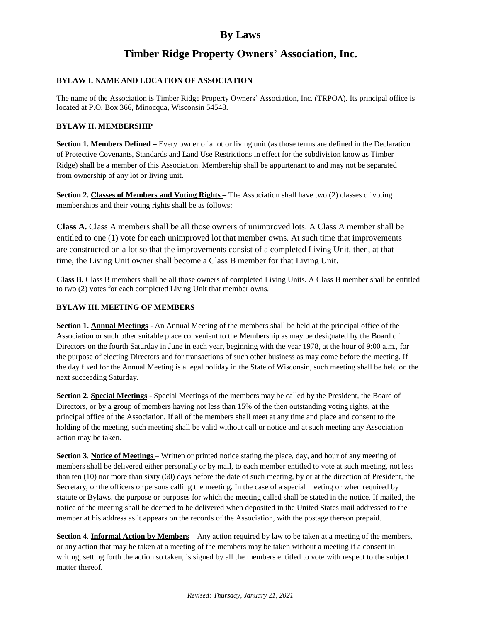# **Timber Ridge Property Owners' Association, Inc.**

### **BYLAW I. NAME AND LOCATION OF ASSOCIATION**

The name of the Association is Timber Ridge Property Owners' Association, Inc. (TRPOA). Its principal office is located at P.O. Box 366, Minocqua, Wisconsin 54548.

### **BYLAW II. MEMBERSHIP**

**Section 1. Members Defined –** Every owner of a lot or living unit (as those terms are defined in the Declaration of Protective Covenants, Standards and Land Use Restrictions in effect for the subdivision know as Timber Ridge) shall be a member of this Association. Membership shall be appurtenant to and may not be separated from ownership of any lot or living unit.

**Section 2. Classes of Members and Voting Rights –** The Association shall have two (2) classes of voting memberships and their voting rights shall be as follows:

**Class A.** Class A members shall be all those owners of unimproved lots. A Class A member shall be entitled to one (1) vote for each unimproved lot that member owns. At such time that improvements are constructed on a lot so that the improvements consist of a completed Living Unit, then, at that time, the Living Unit owner shall become a Class B member for that Living Unit.

**Class B.** Class B members shall be all those owners of completed Living Units. A Class B member shall be entitled to two (2) votes for each completed Living Unit that member owns.

### **BYLAW III. MEETING OF MEMBERS**

**Section 1. Annual Meetings** - An Annual Meeting of the members shall be held at the principal office of the Association or such other suitable place convenient to the Membership as may be designated by the Board of Directors on the fourth Saturday in June in each year, beginning with the year 1978, at the hour of 9:00 a.m., for the purpose of electing Directors and for transactions of such other business as may come before the meeting. If the day fixed for the Annual Meeting is a legal holiday in the State of Wisconsin, such meeting shall be held on the next succeeding Saturday.

**Section 2**. **Special Meetings** - Special Meetings of the members may be called by the President, the Board of Directors, or by a group of members having not less than 15% of the then outstanding voting rights, at the principal office of the Association. If all of the members shall meet at any time and place and consent to the holding of the meeting, such meeting shall be valid without call or notice and at such meeting any Association action may be taken.

**Section 3**. **Notice of Meetings** – Written or printed notice stating the place, day, and hour of any meeting of members shall be delivered either personally or by mail, to each member entitled to vote at such meeting, not less than ten (10) nor more than sixty (60) days before the date of such meeting, by or at the direction of President, the Secretary, or the officers or persons calling the meeting. In the case of a special meeting or when required by statute or Bylaws, the purpose or purposes for which the meeting called shall be stated in the notice. If mailed, the notice of the meeting shall be deemed to be delivered when deposited in the United States mail addressed to the member at his address as it appears on the records of the Association, with the postage thereon prepaid.

**Section 4**. **Informal Action by Members** – Any action required by law to be taken at a meeting of the members, or any action that may be taken at a meeting of the members may be taken without a meeting if a consent in writing, setting forth the action so taken, is signed by all the members entitled to vote with respect to the subject matter thereof.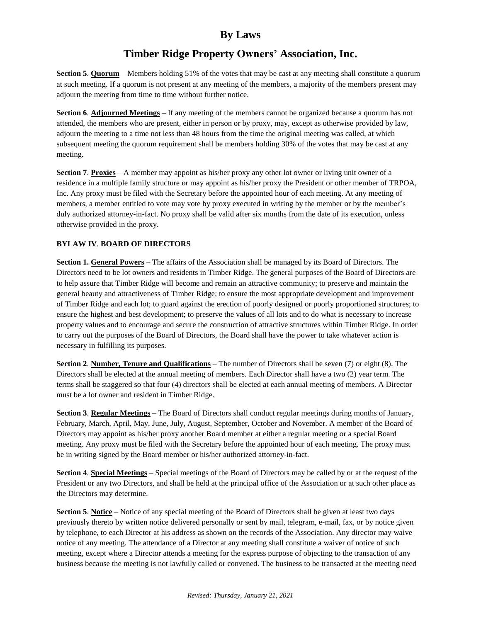# **Timber Ridge Property Owners' Association, Inc.**

**Section 5**. **Quorum** – Members holding 51% of the votes that may be cast at any meeting shall constitute a quorum at such meeting. If a quorum is not present at any meeting of the members, a majority of the members present may adjourn the meeting from time to time without further notice.

**Section 6**. **Adjourned Meetings** – If any meeting of the members cannot be organized because a quorum has not attended, the members who are present, either in person or by proxy, may, except as otherwise provided by law, adjourn the meeting to a time not less than 48 hours from the time the original meeting was called, at which subsequent meeting the quorum requirement shall be members holding 30% of the votes that may be cast at any meeting.

**Section 7**. **Proxies** – A member may appoint as his/her proxy any other lot owner or living unit owner of a residence in a multiple family structure or may appoint as his/her proxy the President or other member of TRPOA, Inc. Any proxy must be filed with the Secretary before the appointed hour of each meeting. At any meeting of members, a member entitled to vote may vote by proxy executed in writing by the member or by the member's duly authorized attorney-in-fact. No proxy shall be valid after six months from the date of its execution, unless otherwise provided in the proxy.

### **BYLAW IV**. **BOARD OF DIRECTORS**

**Section 1. General Powers** – The affairs of the Association shall be managed by its Board of Directors. The Directors need to be lot owners and residents in Timber Ridge. The general purposes of the Board of Directors are to help assure that Timber Ridge will become and remain an attractive community; to preserve and maintain the general beauty and attractiveness of Timber Ridge; to ensure the most appropriate development and improvement of Timber Ridge and each lot; to guard against the erection of poorly designed or poorly proportioned structures; to ensure the highest and best development; to preserve the values of all lots and to do what is necessary to increase property values and to encourage and secure the construction of attractive structures within Timber Ridge. In order to carry out the purposes of the Board of Directors, the Board shall have the power to take whatever action is necessary in fulfilling its purposes.

**Section 2**. **Number, Tenure and Qualifications** – The number of Directors shall be seven (7) or eight (8). The Directors shall be elected at the annual meeting of members. Each Director shall have a two (2) year term. The terms shall be staggered so that four (4) directors shall be elected at each annual meeting of members. A Director must be a lot owner and resident in Timber Ridge.

**Section 3**. **Regular Meetings** – The Board of Directors shall conduct regular meetings during months of January, February, March, April, May, June, July, August, September, October and November. A member of the Board of Directors may appoint as his/her proxy another Board member at either a regular meeting or a special Board meeting. Any proxy must be filed with the Secretary before the appointed hour of each meeting. The proxy must be in writing signed by the Board member or his/her authorized attorney-in-fact.

**Section 4**. **Special Meetings** – Special meetings of the Board of Directors may be called by or at the request of the President or any two Directors, and shall be held at the principal office of the Association or at such other place as the Directors may determine.

**Section 5**. **Notice** – Notice of any special meeting of the Board of Directors shall be given at least two days previously thereto by written notice delivered personally or sent by mail, telegram, e-mail, fax, or by notice given by telephone, to each Director at his address as shown on the records of the Association. Any director may waive notice of any meeting. The attendance of a Director at any meeting shall constitute a waiver of notice of such meeting, except where a Director attends a meeting for the express purpose of objecting to the transaction of any business because the meeting is not lawfully called or convened. The business to be transacted at the meeting need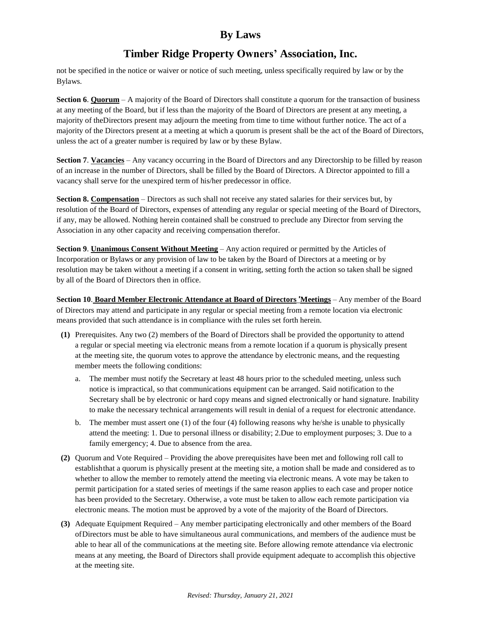# **Timber Ridge Property Owners' Association, Inc.**

not be specified in the notice or waiver or notice of such meeting, unless specifically required by law or by the Bylaws.

**Section 6**. **Quorum** – A majority of the Board of Directors shall constitute a quorum for the transaction of business at any meeting of the Board, but if less than the majority of the Board of Directors are present at any meeting, a majority of theDirectors present may adjourn the meeting from time to time without further notice. The act of a majority of the Directors present at a meeting at which a quorum is present shall be the act of the Board of Directors, unless the act of a greater number is required by law or by these Bylaw.

**Section 7**. **Vacancies** – Any vacancy occurring in the Board of Directors and any Directorship to be filled by reason of an increase in the number of Directors, shall be filled by the Board of Directors. A Director appointed to fill a vacancy shall serve for the unexpired term of his/her predecessor in office.

**Section 8. Compensation** – Directors as such shall not receive any stated salaries for their services but, by resolution of the Board of Directors, expenses of attending any regular or special meeting of the Board of Directors, if any, may be allowed. Nothing herein contained shall be construed to preclude any Director from serving the Association in any other capacity and receiving compensation therefor.

**Section 9**. **Unanimous Consent Without Meeting** – Any action required or permitted by the Articles of Incorporation or Bylaws or any provision of law to be taken by the Board of Directors at a meeting or by resolution may be taken without a meeting if a consent in writing, setting forth the action so taken shall be signed by all of the Board of Directors then in office.

**Section 10**. **Board Member Electronic Attendance at Board of Directors** '**Meetings** – Any member of the Board of Directors may attend and participate in any regular or special meeting from a remote location via electronic means provided that such attendance is in compliance with the rules set forth herein.

- **(1)** Prerequisites. Any two (2) members of the Board of Directors shall be provided the opportunity to attend a regular or special meeting via electronic means from a remote location if a quorum is physically present at the meeting site, the quorum votes to approve the attendance by electronic means, and the requesting member meets the following conditions:
	- a. The member must notify the Secretary at least 48 hours prior to the scheduled meeting, unless such notice is impractical, so that communications equipment can be arranged. Said notification to the Secretary shall be by electronic or hard copy means and signed electronically or hand signature. Inability to make the necessary technical arrangements will result in denial of a request for electronic attendance.
	- b. The member must assert one (1) of the four (4) following reasons why he/she is unable to physically attend the meeting: 1. Due to personal illness or disability; 2.Due to employment purposes; 3. Due to a family emergency; 4. Due to absence from the area.
- **(2)** Quorum and Vote Required Providing the above prerequisites have been met and following roll call to establishthat a quorum is physically present at the meeting site, a motion shall be made and considered as to whether to allow the member to remotely attend the meeting via electronic means. A vote may be taken to permit participation for a stated series of meetings if the same reason applies to each case and proper notice has been provided to the Secretary. Otherwise, a vote must be taken to allow each remote participation via electronic means. The motion must be approved by a vote of the majority of the Board of Directors.
- **(3)** Adequate Equipment Required Any member participating electronically and other members of the Board ofDirectors must be able to have simultaneous aural communications, and members of the audience must be able to hear all of the communications at the meeting site. Before allowing remote attendance via electronic means at any meeting, the Board of Directors shall provide equipment adequate to accomplish this objective at the meeting site.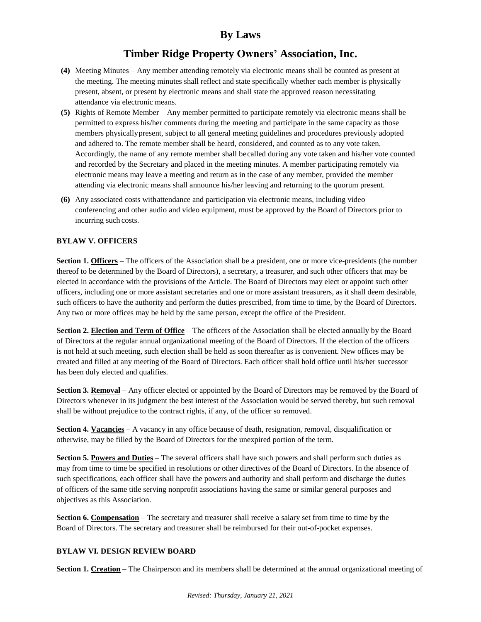# **Timber Ridge Property Owners' Association, Inc.**

- **(4)** Meeting Minutes Any member attending remotely via electronic means shall be counted as present at the meeting. The meeting minutes shall reflect and state specifically whether each member is physically present, absent, or present by electronic means and shall state the approved reason necessitating attendance via electronic means.
- **(5)** Rights of Remote Member Any member permitted to participate remotely via electronic means shall be permitted to express his/her comments during the meeting and participate in the same capacity as those members physicallypresent, subject to all general meeting guidelines and procedures previously adopted and adhered to. The remote member shall be heard, considered, and counted as to any vote taken. Accordingly, the name of any remote member shall becalled during any vote taken and his/her vote counted and recorded by the Secretary and placed in the meeting minutes. A member participating remotely via electronic means may leave a meeting and return as in the case of any member, provided the member attending via electronic means shall announce his/her leaving and returning to the quorum present.
- **(6)** Any associated costs withattendance and participation via electronic means, including video conferencing and other audio and video equipment, must be approved by the Board of Directors prior to incurring such costs.

### **BYLAW V. OFFICERS**

**Section 1. Officers** – The officers of the Association shall be a president, one or more vice-presidents (the number thereof to be determined by the Board of Directors), a secretary, a treasurer, and such other officers that may be elected in accordance with the provisions of the Article. The Board of Directors may elect or appoint such other officers, including one or more assistant secretaries and one or more assistant treasurers, as it shall deem desirable, such officers to have the authority and perform the duties prescribed, from time to time, by the Board of Directors. Any two or more offices may be held by the same person, except the office of the President.

**Section 2. Election and Term of Office** – The officers of the Association shall be elected annually by the Board of Directors at the regular annual organizational meeting of the Board of Directors. If the election of the officers is not held at such meeting, such election shall be held as soon thereafter as is convenient. New offices may be created and filled at any meeting of the Board of Directors. Each officer shall hold office until his/her successor has been duly elected and qualifies.

**Section 3. Removal** – Any officer elected or appointed by the Board of Directors may be removed by the Board of Directors whenever in its judgment the best interest of the Association would be served thereby, but such removal shall be without prejudice to the contract rights, if any, of the officer so removed.

**Section 4. Vacancies** – A vacancy in any office because of death, resignation, removal, disqualification or otherwise, may be filled by the Board of Directors for the unexpired portion of the term.

**Section 5. Powers and Duties** – The several officers shall have such powers and shall perform such duties as may from time to time be specified in resolutions or other directives of the Board of Directors. In the absence of such specifications, each officer shall have the powers and authority and shall perform and discharge the duties of officers of the same title serving nonprofit associations having the same or similar general purposes and objectives as this Association.

**Section 6. Compensation** – The secretary and treasurer shall receive a salary set from time to time by the Board of Directors. The secretary and treasurer shall be reimbursed for their out-of-pocket expenses.

#### **BYLAW VI. DESIGN REVIEW BOARD**

**Section 1. Creation** – The Chairperson and its members shall be determined at the annual organizational meeting of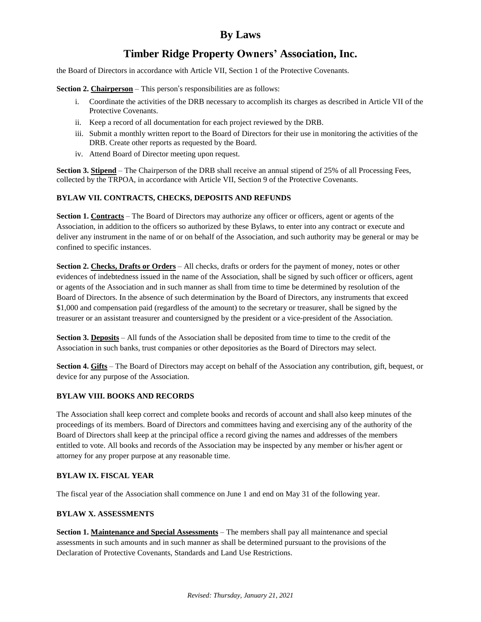# **Timber Ridge Property Owners' Association, Inc.**

the Board of Directors in accordance with Article VII, Section 1 of the Protective Covenants.

**Section 2. Chairperson** – This person's responsibilities are as follows:

- i. Coordinate the activities of the DRB necessary to accomplish its charges as described in Article VII of the Protective Covenants.
- ii. Keep a record of all documentation for each project reviewed by the DRB.
- iii. Submit a monthly written report to the Board of Directors for their use in monitoring the activities of the DRB. Create other reports as requested by the Board.
- iv. Attend Board of Director meeting upon request.

**Section 3. Stipend** – The Chairperson of the DRB shall receive an annual stipend of 25% of all Processing Fees, collected by the TRPOA, in accordance with Article VII, Section 9 of the Protective Covenants.

#### **BYLAW VII. CONTRACTS, CHECKS, DEPOSITS AND REFUNDS**

**Section 1. Contracts** – The Board of Directors may authorize any officer or officers, agent or agents of the Association, in addition to the officers so authorized by these Bylaws, to enter into any contract or execute and deliver any instrument in the name of or on behalf of the Association, and such authority may be general or may be confined to specific instances.

**Section 2. Checks, Drafts or Orders** – All checks, drafts or orders for the payment of money, notes or other evidences of indebtedness issued in the name of the Association, shall be signed by such officer or officers, agent or agents of the Association and in such manner as shall from time to time be determined by resolution of the Board of Directors. In the absence of such determination by the Board of Directors, any instruments that exceed \$1,000 and compensation paid (regardless of the amount) to the secretary or treasurer, shall be signed by the treasurer or an assistant treasurer and countersigned by the president or a vice-president of the Association.

**Section 3. Deposits** – All funds of the Association shall be deposited from time to time to the credit of the Association in such banks, trust companies or other depositories as the Board of Directors may select.

**Section 4. Gifts** – The Board of Directors may accept on behalf of the Association any contribution, gift, bequest, or device for any purpose of the Association.

#### **BYLAW VIII. BOOKS AND RECORDS**

The Association shall keep correct and complete books and records of account and shall also keep minutes of the proceedings of its members. Board of Directors and committees having and exercising any of the authority of the Board of Directors shall keep at the principal office a record giving the names and addresses of the members entitled to vote. All books and records of the Association may be inspected by any member or his/her agent or attorney for any proper purpose at any reasonable time.

#### **BYLAW IX. FISCAL YEAR**

The fiscal year of the Association shall commence on June 1 and end on May 31 of the following year.

#### **BYLAW X. ASSESSMENTS**

**Section 1. Maintenance and Special Assessments** – The members shall pay all maintenance and special assessments in such amounts and in such manner as shall be determined pursuant to the provisions of the Declaration of Protective Covenants, Standards and Land Use Restrictions.